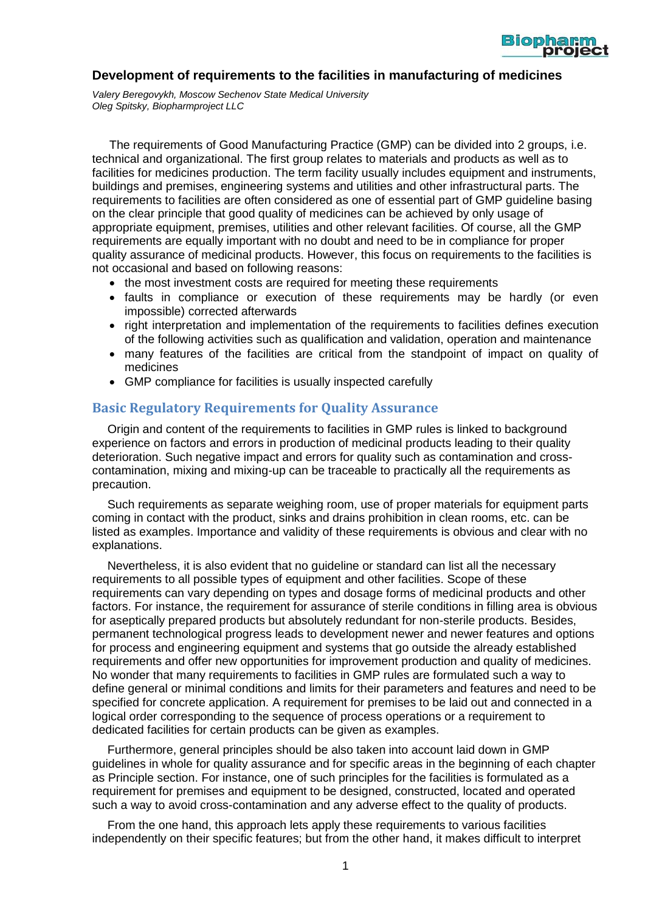

#### **Development of requirements to the facilities in manufacturing of medicines**

*Valery Beregovykh, Moscow Sechenov State Medical University Oleg Spitsky, Biopharmproject LLC*

The requirements of Good Manufacturing Practice (GMP) can be divided into 2 groups, i.e. technical and organizational. The first group relates to materials and products as well as to facilities for medicines production. The term facility usually includes equipment and instruments, buildings and premises, engineering systems and utilities and other infrastructural parts. The requirements to facilities are often considered as one of essential part of GMP guideline basing on the clear principle that good quality of medicines can be achieved by only usage of appropriate equipment, premises, utilities and other relevant facilities. Of course, all the GMP requirements are equally important with no doubt and need to be in compliance for proper quality assurance of medicinal products. However, this focus on requirements to the facilities is not occasional and based on following reasons:

- the most investment costs are required for meeting these requirements
- faults in compliance or execution of these requirements may be hardly (or even impossible) corrected afterwards
- right interpretation and implementation of the requirements to facilities defines execution of the following activities such as qualification and validation, operation and maintenance
- many features of the facilities are critical from the standpoint of impact on quality of medicines
- GMP compliance for facilities is usually inspected carefully

#### **Basic Regulatory Requirements for Quality Assurance**

Origin and content of the requirements to facilities in GMP rules is linked to background experience on factors and errors in production of medicinal products leading to their quality deterioration. Such negative impact and errors for quality such as contamination and crosscontamination, mixing and mixing-up can be traceable to practically all the requirements as precaution.

Such requirements as separate weighing room, use of proper materials for equipment parts coming in contact with the product, sinks and drains prohibition in clean rooms, etc. can be listed as examples. Importance and validity of these requirements is obvious and clear with no explanations.

Nevertheless, it is also evident that no guideline or standard can list all the necessary requirements to all possible types of equipment and other facilities. Scope of these requirements can vary depending on types and dosage forms of medicinal products and other factors. For instance, the requirement for assurance of sterile conditions in filling area is obvious for aseptically prepared products but absolutely redundant for non-sterile products. Besides, permanent technological progress leads to development newer and newer features and options for process and engineering equipment and systems that go outside the already established requirements and offer new opportunities for improvement production and quality of medicines. No wonder that many requirements to facilities in GMP rules are formulated such a way to define general or minimal conditions and limits for their parameters and features and need to be specified for concrete application. A requirement for premises to be laid out and connected in a logical order corresponding to the sequence of process operations or a requirement to dedicated facilities for certain products can be given as examples.

Furthermore, general principles should be also taken into account laid down in GMP guidelines in whole for quality assurance and for specific areas in the beginning of each chapter as Principle section. For instance, one of such principles for the facilities is formulated as a requirement for premises and equipment to be designed, constructed, located and operated such a way to avoid cross-contamination and any adverse effect to the quality of products.

From the one hand, this approach lets apply these requirements to various facilities independently on their specific features; but from the other hand, it makes difficult to interpret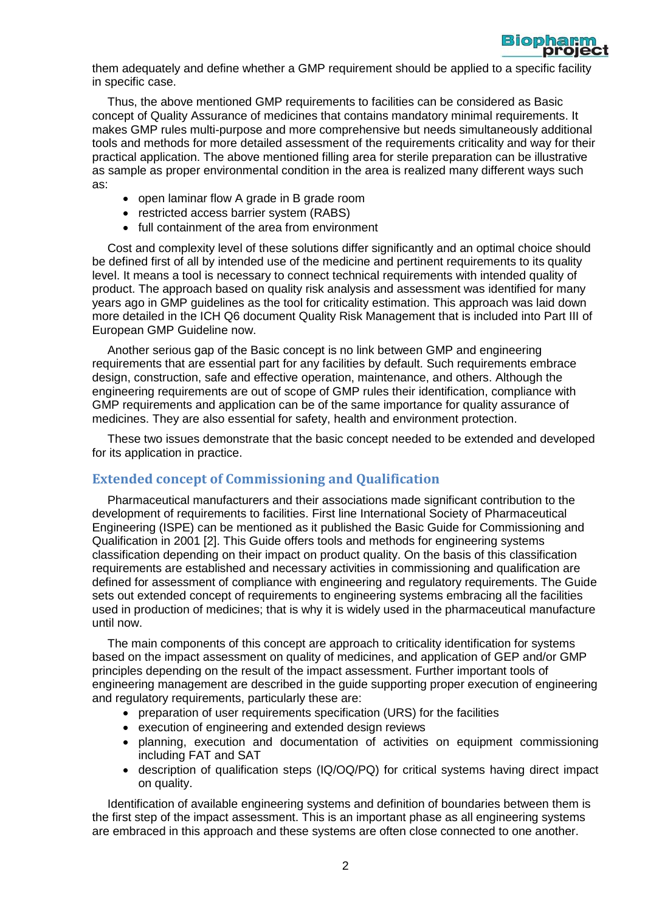

them adequately and define whether a GMP requirement should be applied to a specific facility in specific case.

Thus, the above mentioned GMP requirements to facilities can be considered as Basic concept of Quality Assurance of medicines that contains mandatory minimal requirements. It makes GMP rules multi-purpose and more comprehensive but needs simultaneously additional tools and methods for more detailed assessment of the requirements criticality and way for their practical application. The above mentioned filling area for sterile preparation can be illustrative as sample as proper environmental condition in the area is realized many different ways such as:

- open laminar flow A grade in B grade room
- restricted access barrier system (RABS)
- full containment of the area from environment

Cost and complexity level of these solutions differ significantly and an optimal choice should be defined first of all by intended use of the medicine and pertinent requirements to its quality level. It means a tool is necessary to connect technical requirements with intended quality of product. The approach based on quality risk analysis and assessment was identified for many years ago in GMP guidelines as the tool for criticality estimation. This approach was laid down more detailed in the ICH Q6 document Quality Risk Management that is included into Part III of European GMP Guideline now.

Another serious gap of the Basic concept is no link between GMP and engineering requirements that are essential part for any facilities by default. Such requirements embrace design, construction, safe and effective operation, maintenance, and others. Although the engineering requirements are out of scope of GMP rules their identification, compliance with GMP requirements and application can be of the same importance for quality assurance of medicines. They are also essential for safety, health and environment protection.

These two issues demonstrate that the basic concept needed to be extended and developed for its application in practice.

## **Extended concept of Commissioning and Qualification**

Pharmaceutical manufacturers and their associations made significant contribution to the development of requirements to facilities. First line International Society of Pharmaceutical Engineering (ISPE) can be mentioned as it published the Basic Guide for Commissioning and Qualification in 2001 [\[2\]](#page-8-0). This Guide offers tools and methods for engineering systems classification depending on their impact on product quality. On the basis of this classification requirements are established and necessary activities in commissioning and qualification are defined for assessment of compliance with engineering and regulatory requirements. The Guide sets out extended concept of requirements to engineering systems embracing all the facilities used in production of medicines; that is why it is widely used in the pharmaceutical manufacture until now.

The main components of this concept are approach to criticality identification for systems based on the impact assessment on quality of medicines, and application of GEP and/or GMP principles depending on the result of the impact assessment. Further important tools of engineering management are described in the guide supporting proper execution of engineering and regulatory requirements, particularly these are:

- preparation of user requirements specification (URS) for the facilities
- execution of engineering and extended design reviews
- planning, execution and documentation of activities on equipment commissioning including FAT and SAT
- description of qualification steps (IQ/OQ/PQ) for critical systems having direct impact on quality.

Identification of available engineering systems and definition of boundaries between them is the first step of the impact assessment. This is an important phase as all engineering systems are embraced in this approach and these systems are often close connected to one another.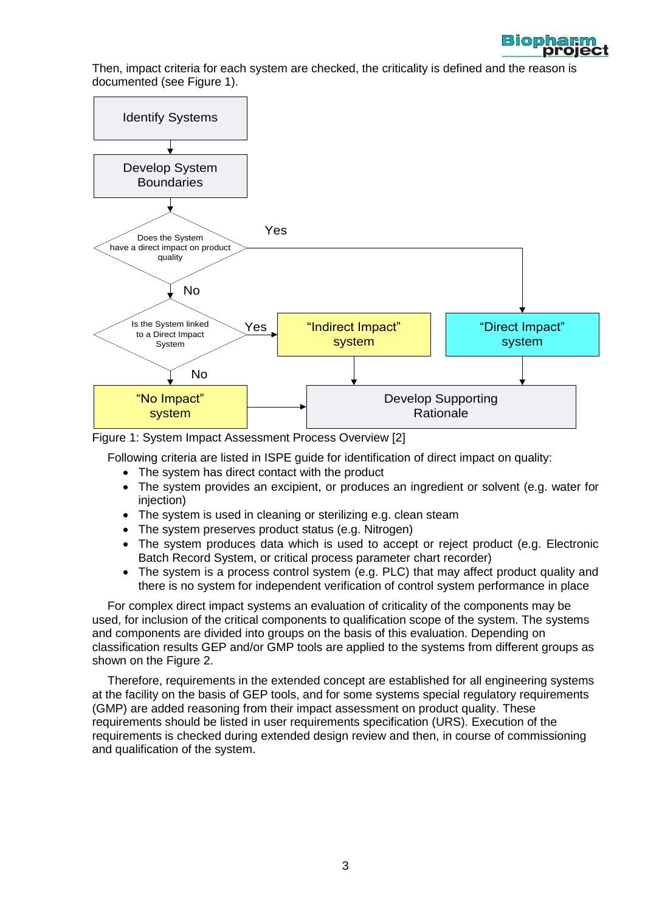

Then, impact criteria for each system are checked, the criticality is defined and the reason is documented (see Figure 1).



Figure 1: System Impact Assessment Process Overview [\[2\]](#page-8-0)

Following criteria are listed in ISPE guide for identification of direct impact on quality:

- The system has direct contact with the product
- The system provides an excipient, or produces an ingredient or solvent (e.g. water for injection)
- The system is used in cleaning or sterilizing e.g. clean steam
- The system preserves product status (e.g. Nitrogen)
- The system produces data which is used to accept or reject product (e.g. Electronic Batch Record System, or critical process parameter chart recorder)
- The system is a process control system (e.g. PLC) that may affect product quality and there is no system for independent verification of control system performance in place

For complex direct impact systems an evaluation of criticality of the components may be used, for inclusion of the critical components to qualification scope of the system. The systems and components are divided into groups on the basis of this evaluation. Depending on classification results GEP and/or GMP tools are applied to the systems from different groups as shown on the Figure 2.

Therefore, requirements in the extended concept are established for all engineering systems at the facility on the basis of GEP tools, and for some systems special regulatory requirements (GMP) are added reasoning from their impact assessment on product quality. These requirements should be listed in user requirements specification (URS). Execution of the requirements is checked during extended design review and then, in course of commissioning and qualification of the system.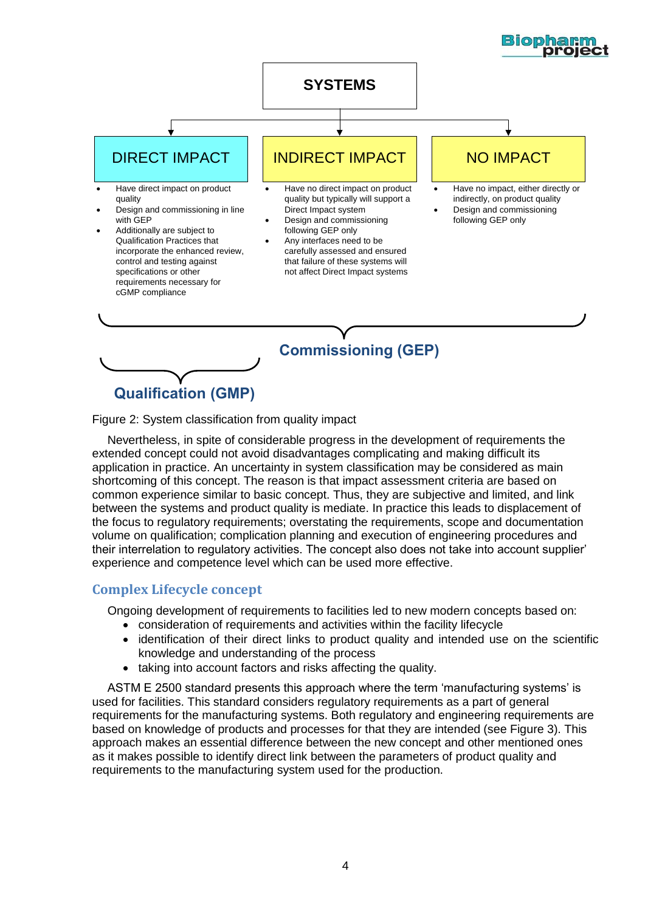

Figure 2: System classification from quality impact

Nevertheless, in spite of considerable progress in the development of requirements the extended concept could not avoid disadvantages complicating and making difficult its application in practice. An uncertainty in system classification may be considered as main shortcoming of this concept. The reason is that impact assessment criteria are based on common experience similar to basic concept. Thus, they are subjective and limited, and link between the systems and product quality is mediate. In practice this leads to displacement of the focus to regulatory requirements; overstating the requirements, scope and documentation volume on qualification; complication planning and execution of engineering procedures and their interrelation to regulatory activities. The concept also does not take into account supplier' experience and competence level which can be used more effective.

## **Complex Lifecycle concept**

Ongoing development of requirements to facilities led to new modern concepts based on:

- consideration of requirements and activities within the facility lifecycle
- identification of their direct links to product quality and intended use on the scientific knowledge and understanding of the process
- taking into account factors and risks affecting the quality.

ASTM E 2500 standard presents this approach where the term 'manufacturing systems' is used for facilities. This standard considers regulatory requirements as a part of general requirements for the manufacturing systems. Both regulatory and engineering requirements are based on knowledge of products and processes for that they are intended (see Figure 3). This approach makes an essential difference between the new concept and other mentioned ones as it makes possible to identify direct link between the parameters of product quality and requirements to the manufacturing system used for the production.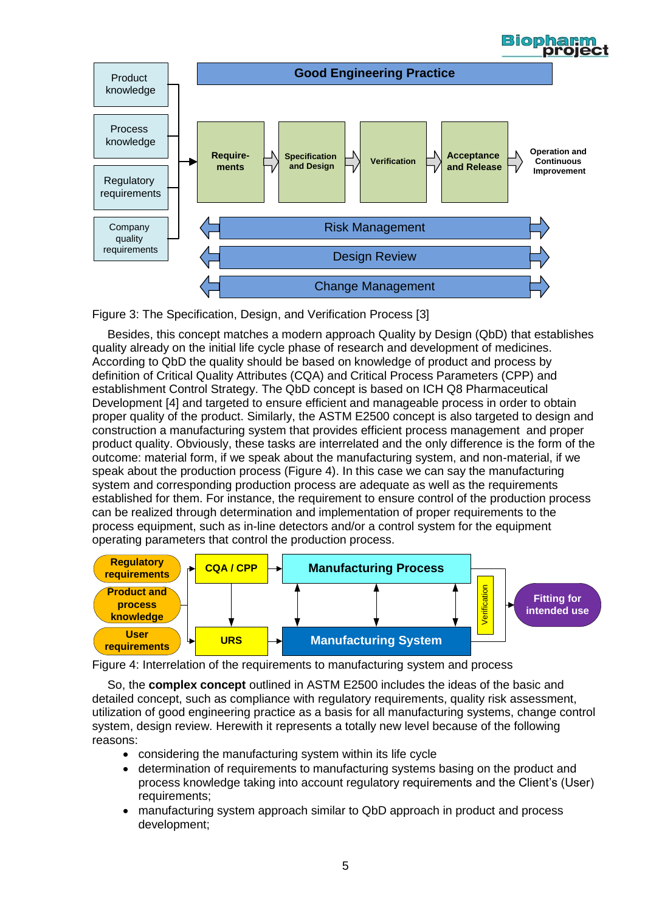

![](_page_4_Figure_1.jpeg)

Besides, this concept matches a modern approach Quality by Design (QbD) that establishes quality already on the initial life cycle phase of research and development of medicines. According to QbD the quality should be based on knowledge of product and process by definition of Critical Quality Attributes (CQA) and Critical Process Parameters (CPP) and establishment Control Strategy. The QbD concept is based on ICH Q8 Pharmaceutical Development [4] and targeted to ensure efficient and manageable process in order to obtain proper quality of the product. Similarly, the ASTM E2500 concept is also targeted to design and construction a manufacturing system that provides efficient process management and proper product quality. Obviously, these tasks are interrelated and the only difference is the form of the outcome: material form, if we speak about the manufacturing system, and non-material, if we speak about the production process (Figure 4). In this case we can say the manufacturing system and corresponding production process are adequate as well as the requirements established for them. For instance, the requirement to ensure control of the production process can be realized through determination and implementation of proper requirements to the process equipment, such as in-line detectors and/or a control system for the equipment operating parameters that control the production process.

![](_page_4_Figure_3.jpeg)

Figure 4: Interrelation of the requirements to manufacturing system and process

So, the **complex concept** outlined in ASTM E2500 includes the ideas of the basic and detailed concept, such as compliance with regulatory requirements, quality risk assessment, utilization of good engineering practice as a basis for all manufacturing systems, change control system, design review. Herewith it represents a totally new level because of the following reasons:

- considering the manufacturing system within its life cycle
- determination of requirements to manufacturing systems basing on the product and process knowledge taking into account regulatory requirements and the Client's (User) requirements;
- manufacturing system approach similar to QbD approach in product and process development;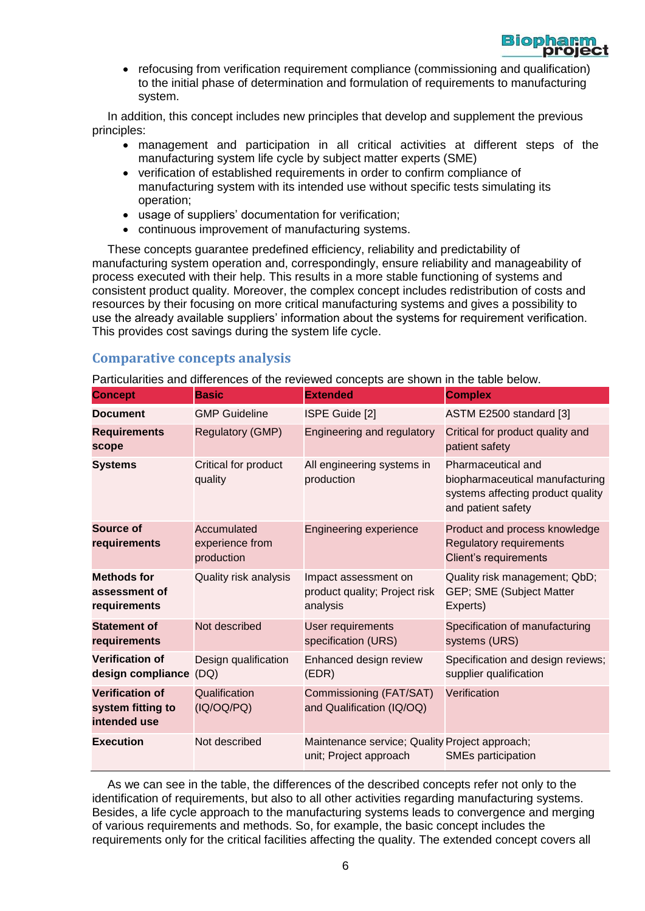![](_page_5_Picture_0.jpeg)

• refocusing from verification requirement compliance (commissioning and qualification) to the initial phase of determination and formulation of requirements to manufacturing system.

In addition, this concept includes new principles that develop and supplement the previous principles:

- management and participation in all critical activities at different steps of the manufacturing system life cycle by subject matter experts (SME)
- verification of established requirements in order to confirm compliance of manufacturing system with its intended use without specific tests simulating its operation;
- usage of suppliers' documentation for verification;
- continuous improvement of manufacturing systems.

These concepts guarantee predefined efficiency, reliability and predictability of manufacturing system operation and, correspondingly, ensure reliability and manageability of process executed with their help. This results in a more stable functioning of systems and consistent product quality. Moreover, the complex concept includes redistribution of costs and resources by their focusing on more critical manufacturing systems and gives a possibility to use the already available suppliers' information about the systems for requirement verification. This provides cost savings during the system life cycle.

# **Comparative concepts analysis**

Particularities and differences of the reviewed concepts are shown in the table below.

| <b>Concept</b>                                              | <b>Basic</b>                                 | <b>Extended</b>                                                          | <b>Complex</b>                                                                                                   |
|-------------------------------------------------------------|----------------------------------------------|--------------------------------------------------------------------------|------------------------------------------------------------------------------------------------------------------|
| <b>Document</b>                                             | <b>GMP Guideline</b>                         | ISPE Guide [2]                                                           | ASTM E2500 standard [3]                                                                                          |
| <b>Requirements</b><br>scope                                | <b>Regulatory (GMP)</b>                      | Engineering and regulatory                                               | Critical for product quality and<br>patient safety                                                               |
| <b>Systems</b>                                              | Critical for product<br>quality              | All engineering systems in<br>production                                 | Pharmaceutical and<br>biopharmaceutical manufacturing<br>systems affecting product quality<br>and patient safety |
| Source of<br>requirements                                   | Accumulated<br>experience from<br>production | <b>Engineering experience</b>                                            | Product and process knowledge<br><b>Regulatory requirements</b><br>Client's requirements                         |
| <b>Methods for</b><br>assessment of<br>requirements         | <b>Quality risk analysis</b>                 | Impact assessment on<br>product quality; Project risk<br>analysis        | Quality risk management; QbD;<br>GEP; SME (Subject Matter<br>Experts)                                            |
| <b>Statement of</b><br>requirements                         | Not described                                | User requirements<br>specification (URS)                                 | Specification of manufacturing<br>systems (URS)                                                                  |
| <b>Verification of</b><br>design compliance                 | Design qualification<br>(DQ)                 | Enhanced design review<br>(EDR)                                          | Specification and design reviews;<br>supplier qualification                                                      |
| <b>Verification of</b><br>system fitting to<br>intended use | Qualification<br>(IQ/OQ/PQ)                  | Commissioning (FAT/SAT)<br>and Qualification (IQ/OQ)                     | Verification                                                                                                     |
| <b>Execution</b>                                            | Not described                                | Maintenance service; Quality Project approach;<br>unit; Project approach | <b>SMEs participation</b>                                                                                        |

As we can see in the table, the differences of the described concepts refer not only to the identification of requirements, but also to all other activities regarding manufacturing systems. Besides, a life cycle approach to the manufacturing systems leads to convergence and merging of various requirements and methods. So, for example, the basic concept includes the requirements only for the critical facilities affecting the quality. The extended concept covers all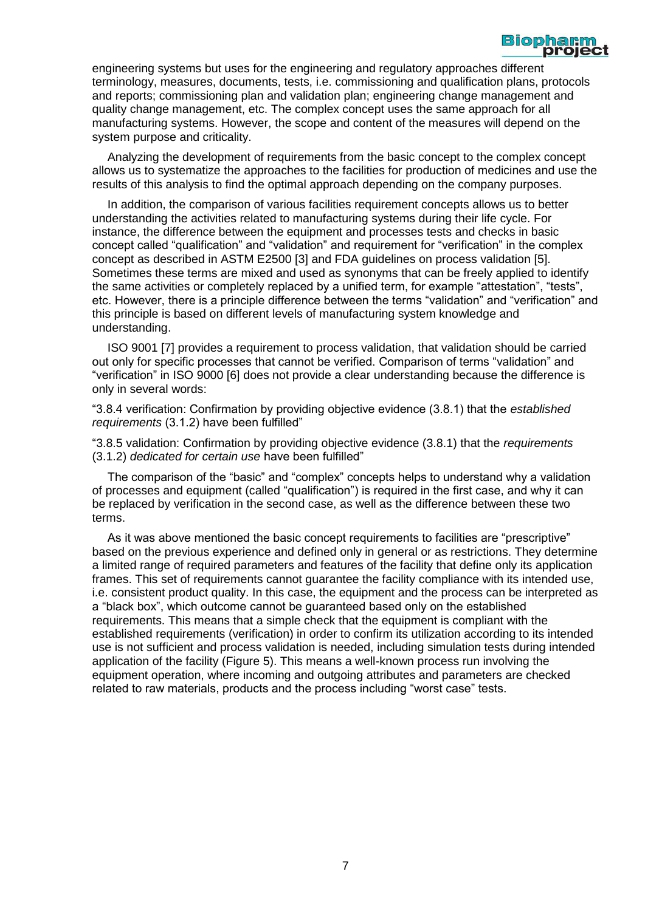![](_page_6_Picture_0.jpeg)

engineering systems but uses for the engineering and regulatory approaches different terminology, measures, documents, tests, i.e. commissioning and qualification plans, protocols and reports; commissioning plan and validation plan; engineering change management and quality change management, etc. The complex concept uses the same approach for all manufacturing systems. However, the scope and content of the measures will depend on the system purpose and criticality.

Analyzing the development of requirements from the basic concept to the complex concept allows us to systematize the approaches to the facilities for production of medicines and use the results of this analysis to find the optimal approach depending on the company purposes.

In addition, the comparison of various facilities requirement concepts allows us to better understanding the activities related to manufacturing systems during their life cycle. For instance, the difference between the equipment and processes tests and checks in basic concept called "qualification" and "validation" and requirement for "verification" in the complex concept as described in ASTM E2500 [3] and FDA guidelines on process validation [5]. Sometimes these terms are mixed and used as synonyms that can be freely applied to identify the same activities or completely replaced by a unified term, for example "attestation", "tests", etc. However, there is a principle difference between the terms "validation" and "verification" and this principle is based on different levels of manufacturing system knowledge and understanding.

ISO 9001 [7] provides a requirement to process validation, that validation should be carried out only for specific processes that cannot be verified. Comparison of terms "validation" and "verification" in ISO 9000 [6] does not provide a clear understanding because the difference is only in several words:

"3.8.4 verification: Confirmation by providing objective evidence (3.8.1) that the *established requirements* (3.1.2) have been fulfilled"

"3.8.5 validation: Confirmation by providing objective evidence (3.8.1) that the *requirements* (3.1.2) *dedicated for certain use* have been fulfilled"

The comparison of the "basic" and "complex" concepts helps to understand why a validation of processes and equipment (called "qualification") is required in the first case, and why it can be replaced by verification in the second case, as well as the difference between these two terms.

As it was above mentioned the basic concept requirements to facilities are "prescriptive" based on the previous experience and defined only in general or as restrictions. They determine a limited range of required parameters and features of the facility that define only its application frames. This set of requirements cannot guarantee the facility compliance with its intended use, i.e. consistent product quality. In this case, the equipment and the process can be interpreted as a "black box", which outcome cannot be guaranteed based only on the established requirements. This means that a simple check that the equipment is compliant with the established requirements (verification) in order to confirm its utilization according to its intended use is not sufficient and process validation is needed, including simulation tests during intended application of the facility (Figure 5). This means a well-known process run involving the equipment operation, where incoming and outgoing attributes and parameters are checked related to raw materials, products and the process including "worst case" tests.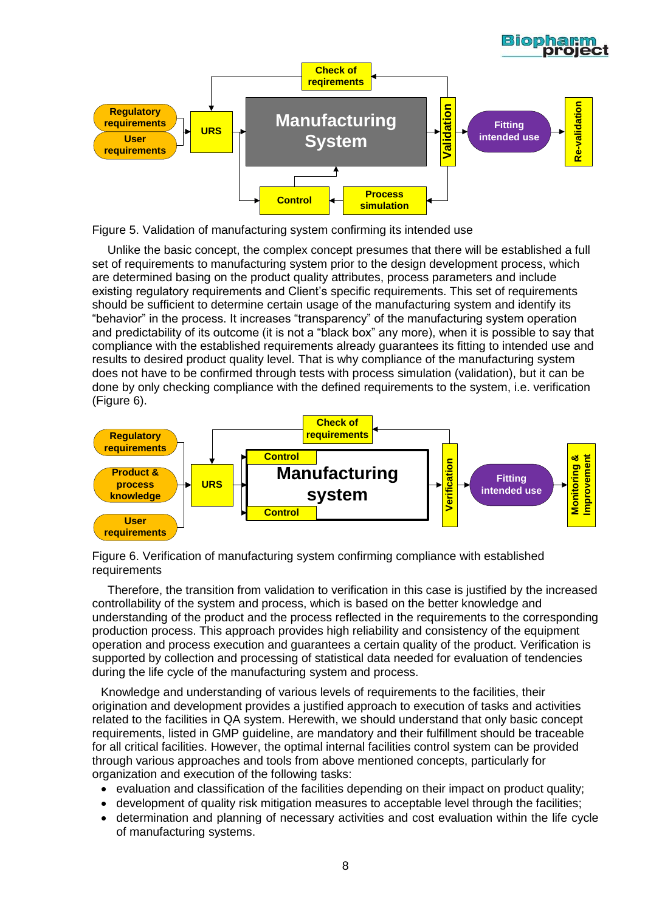![](_page_7_Figure_0.jpeg)

Figure 5. Validation of manufacturing system confirming its intended use

Unlike the basic concept, the complex concept presumes that there will be established a full set of requirements to manufacturing system prior to the design development process, which are determined basing on the product quality attributes, process parameters and include existing regulatory requirements and Client's specific requirements. This set of requirements should be sufficient to determine certain usage of the manufacturing system and identify its "behavior" in the process. It increases "transparency" of the manufacturing system operation and predictability of its outcome (it is not a "black box" any more), when it is possible to say that compliance with the established requirements already guarantees its fitting to intended use and results to desired product quality level. That is why compliance of the manufacturing system does not have to be confirmed through tests with process simulation (validation), but it can be done by only checking compliance with the defined requirements to the system, i.e. verification (Figure 6).

![](_page_7_Figure_3.jpeg)

Figure 6. Verification of manufacturing system confirming compliance with established requirements

Therefore, the transition from validation to verification in this case is justified by the increased controllability of the system and process, which is based on the better knowledge and understanding of the product and the process reflected in the requirements to the corresponding production process. This approach provides high reliability and consistency of the equipment operation and process execution and guarantees a certain quality of the product. Verification is supported by collection and processing of statistical data needed for evaluation of tendencies during the life cycle of the manufacturing system and process.

Knowledge and understanding of various levels of requirements to the facilities, their origination and development provides a justified approach to execution of tasks and activities related to the facilities in QA system. Herewith, we should understand that only basic concept requirements, listed in GMP guideline, are mandatory and their fulfillment should be traceable for all critical facilities. However, the optimal internal facilities control system can be provided through various approaches and tools from above mentioned concepts, particularly for organization and execution of the following tasks:

- evaluation and classification of the facilities depending on their impact on product quality;
- development of quality risk mitigation measures to acceptable level through the facilities;
- determination and planning of necessary activities and cost evaluation within the life cycle of manufacturing systems.